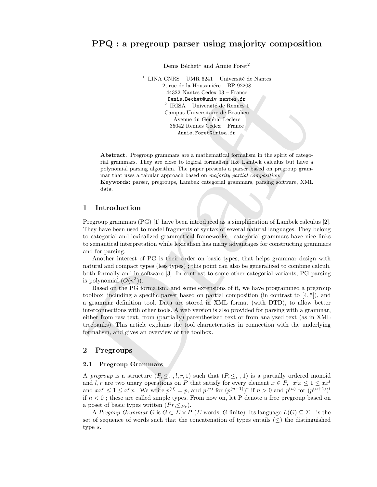# PPQ : a pregroup parser using majority composition

Denis Béchet<sup>1</sup> and Annie Foret<sup>2</sup>

 $^{\rm 1}$  LINA CNRS – UMR 6241 – Université de Nantes 2, rue de la Houssiniére – BP 92208 44322 Nantes Cedex 03 – France Denis.Bechet@univ-nantes.fr  $^2$ IRISA – Université de Rennes 1 Campus Universitaire de Beaulieu Avenue du Général Leclerc 35042 Rennes Cedex – France Annie.Foret@irisa.fr

Abstract. Pregroup grammars are a mathematical formalism in the spirit of categorial grammars. They are close to logical formalism like Lambek calculus but have a polynomial parsing algorithm. The paper presents a parser based on pregroup grammar that uses a tabular approach based on majority partial composition. Keywords: parser, pregroups, Lambek categorial grammars, parsing software, XML data.

## 1 Introduction

Pregroup grammars (PG) [1] have been introduced as a simplification of Lambek calculus [2]. They have been used to model fragments of syntax of several natural languages. They belong to categorial and lexicalized grammatical frameworks : categorial grammars have nice links to semantical interpretation while lexicalism has many advantages for constructing grammars and for parsing.

Another interest of PG is their order on basic types, that helps grammar design with natural and compact types (less types) ; this point can also be generalized to combine calculi, both formally and in software [3]. In contrast to some other categorial variants, PG parsing is polynomial  $(O(n^3))$ .

2, run de la Housinière - BP (2200 et al Housinier - BP (2200 et al Housinier - Benita Reistable<br>10. This a transitional content of the Housine I (200)<br>2. This a transition of the Housine Marine I (200) and the Marine Mar Based on the PG formalism, and some extensions of it, we have programmed a pregroup toolbox, including a specific parser based on partial composition (in contrast to  $(4, 5)$ ), and a grammar definition tool. Data are stored in XML format (with DTD), to allow better interconnections with other tools. A web version is also provided for parsing with a grammar, either from raw text, from (partially) parenthesized text or from analyzed text (as in XML treebanks). This article explains the tool characteristics in connection with the underlying formalism, and gives an overview of the toolbox.

#### 2 Pregroups

#### 2.1 Pregroup Grammars

A pregroup is a structure  $(P, \leq, \cdot, l, r, 1)$  such that  $(P, \leq, \cdot, 1)$  is a partially ordered monoid and l, r are two unary operations on P that satisfy for every element  $x \in P$ ,  $x^l x \leq 1 \leq xx^l$ and  $xx^r \leq 1 \leq x^r x$ . We write  $p^{(0)} = p$ , and  $p^{(n)}$  for  $(p^{(n-1)})^r$  if  $n > 0$  and  $p^{(n)}$  for  $(p^{(n+1)})^l$ if  $n < 0$ ; these are called simple types. From now on, let P denote a free pregroup based on a poset of basic types written  $(Pr, \leq_{Pr})$ .

A Pregoup Grammar G is  $G \subset \Sigma \times P$  ( $\Sigma$  words, G finite). Its language  $L(G) \subseteq \Sigma^+$  is the set of sequence of words such that the concatenation of types entails  $(\leq)$  the distinguished type s.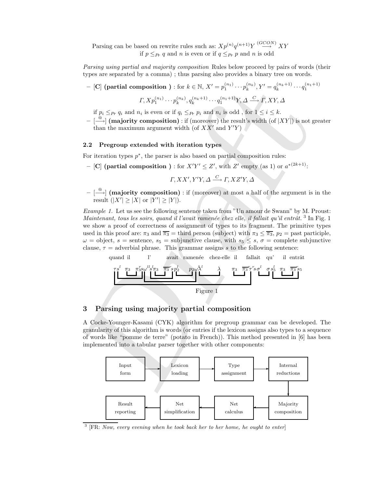Parsing can be based on rewrite rules such as:  $Xp^{(n)}q^{(n+1)}Y \stackrel{(GCON)}{\longrightarrow} XY$ if  $p \leq_{Pr} q$  and n is even or if  $q \leq_{Pr} p$  and n is odd

Parsing using partial and majority composition Rules below proceed by pairs of words (their types are separated by a comma) ; thus parsing also provides a binary tree on words.

 $-$  [C] (partial composition ) : for  $k \in \mathbb{N}$ ,  $X' = p_1^{(n_1)} \cdots p_k^{(n_k)}$ ,  $Y' = q_k^{(n_k+1)} \cdots q_1^{(n_1+1)}$ 

$$
\varGamma,Xp_1^{(n_1)}\cdots p_k^{(n_k)},q_k^{(n_k+1)}\cdots q_1^{(n_1+1)}Y,\varDelta\stackrel{\mathbb{C}}{\longrightarrow}\varGamma, XY,\varDelta
$$

if  $p_i \leq_{Pr} q_i$  and  $n_i$  is even or if  $q_i \leq_{Pr} p_i$  and  $n_i$  is odd, for  $1 \leq i \leq k$ .

 $- \stackrel{\textcircled{\textcirc}}{\longrightarrow}$  (majority composition) : if (moreover) the result's width (of  $|XY|$ ) is not greater than the maximum argument width (of  $\overline{X}X'$  and  $\overline{Y'Y}$ )

#### 2.2 Pregroup extended with iteration types

For iteration types  $p^*$ , the parser is also based on partial composition rules:

- [C] (partial composition ) : for  $X'Y' \leq Z'$ , with  $Z'$  empty (as 1) or  $a^{*(2k+1)}$ :

$$
\Gamma, XX', Y'Y, \Delta \stackrel{C}{\longrightarrow} \Gamma, XZ'Y, \Delta
$$

 $\left[\stackrel{\circ}{\longrightarrow}\right]$  (majority composition) : if (moreover) at most a half of the argument is in the result  $(|X'| \geq |X| \text{ or } |Y'| \geq |Y|)$ .

– [C] (partial composition) : fi  $h \ge \mathbb{N}$ ,  $Y = p_1^{(n_1)} \dots p_k^{(n_k)}$ ,  $Y = p_k^{(n_k+1)} \dots p_k^{(n_k)}$ ,  $Y = p_k^{(n_k+1)} \dots p_k^{(n_k)}$ ,  $Y = p_k^{(n_k+1)} \dots p_k^{(n_k)}$ ,  $Y = p_k^{(n_k+1)} \dots p_k^{(n_k)}$ .<br>
if  $p_k \le p, q_k$  and  $p_k$  is even or if  $q_k \le p, p_k$  and Example 1. Let us see the following sentence taken from "Un amour de Swann" by M. Proust: Maintenant, tous les soirs, quand il l'avait ramenée chez elle, il fallait qu'il entrât.<sup>3</sup> In Fig. 1 we show a proof of correctness of assignment of types to its fragment. The primitive types used in this proof are:  $\pi_3$  and  $\overline{\pi_3}$  = third person (subject) with  $\pi_3 \leq \overline{\pi_3}$ ,  $p_2$  = past participle,  $\omega =$  object,  $s =$  sentence,  $s_5 =$  subjunctive clause, with  $s_5 \leq s$ ,  $\sigma =$  complete subjunctive clause,  $\tau$  = adverbial phrase. This grammar assigns s to the following sentence:



# 3 Parsing using majority partial composition

A Cocke-Younger-Kasami (CYK) algorithm for pregroup grammar can be developed. The granularity of this algorithm is words (or entries if the lexicon assigns also types to a sequence of words like "pomme de terre" (potato in French)). This method presented in [6] has been implemented into a tabular parser together with other components:



 $3$  [FR: Now, every evening when he took back her to her home, he ought to enter]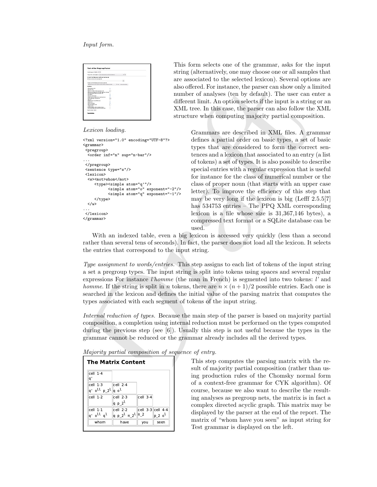#### Input form.

| New Victorian Robert W. Co.                                           |              |       |                         |  |  |
|-----------------------------------------------------------------------|--------------|-------|-------------------------|--|--|
| Owner the number anyons of Ferrill Test Grammar (or Presid ambition). |              |       | $-10$                   |  |  |
| Franch Test Grammar (on Proust seatcaces)                             |              |       |                         |  |  |
| Reference services have and even Dr.                                  |              |       |                         |  |  |
|                                                                       |              |       |                         |  |  |
| Photos case of the Palmeter senders on and norm. Pa-                  |              |       |                         |  |  |
| National entry les sons manufé l'estat commer à Salad av V em le      |              | $-10$ | <b>Base of accounts</b> |  |  |
| Outlook                                                               |              |       |                         |  |  |
| <b>Only showing next</b>                                              | ×            |       |                         |  |  |
| Most ford out                                                         | 8            |       |                         |  |  |
| Nazimum rumber of cleans accounts neb-                                | m            |       |                         |  |  |
| Show only one pregnace net for each instigement of Episod             | n            |       |                         |  |  |
| Show also artisted hypes on announce nets.                            |              |       |                         |  |  |
| <b>Stor Bank</b>                                                      |              |       |                         |  |  |
| Most and worker hours                                                 |              |       |                         |  |  |
| All basic buyer-correspond to a correct earliering                    | <b>SKYSS</b> |       |                         |  |  |
| Scale of economic nets learnest to                                    |              |       |                         |  |  |
| <b>UNE INVAN</b>                                                      | Ē            |       |                         |  |  |
| Fabor input tracchard ON Jones                                        |              |       |                         |  |  |
| <b>SHAMPLINES</b><br><b>Show hat distribution</b>                     | u            |       |                         |  |  |
|                                                                       | ŗ.           |       |                         |  |  |
| <b>Industrials survive local</b>                                      |              |       |                         |  |  |
| <b>Terfense minute</b><br>Partial companies without extense hours     | Б<br>Б       |       |                         |  |  |
| Be not additioned deduced by internal reduction.                      | Ξ            |       |                         |  |  |
|                                                                       |              |       |                         |  |  |
| <b>Bout the first Prest</b>                                           |              |       |                         |  |  |

#### Lexicon loading.

```
<?xml version="1.0" encoding="UTF-8"?>
<grammar>
 <pregroup>
 <order inf="n" sup="n-bar"/>
...
</pregroup>
 <sentence type="s"/>
 <lexicon>
  <w><mot>whom</mot>
     <type><simple atom="q'"/>
           <simple atom="o" exponent="-2"/>
           <simple atom="q" exponent="-1"/>
     </type>
 \langle/w\rangle...
</lexicon>
</grammar>
```
This form selects one of the grammar, asks for the input string (alternatively, one may choose one or all samples that are associated to the selected lexicon). Several options are also offered. For instance, the parser can show only a limited number of analyses (ten by default). The user can enter a different limit. An option selects if the input is a string or an XML tree. In this case, the parser can also follow the XML structure when computing majority partial composition.

and online and point than the content can be observed and the set of a stating and different limit. An option set of a stating of the layer stating of the set of the set of the set of the set of the set of the set of the Grammars are described in XML files. A grammar defines a partial order on basic types, a set of basic types that are considered to form the correct sentences and a lexicon that associated to an entry (a list of tokens) a set of types. It is also possible to describe special entries with a regular expression that is useful for instance for the class of numerical number or the class of proper noun (that starts with an upper case letter). To improve the efficiency of this step that may be very long if the lexicon is big (Lefff 2.5.5[7] has 534753 entries – The PPQ XML corresponding lexicon is a file whose size is 31,367,146 bytes), a compressed text format or a SQLite database can be used.

With an indexed table, even a big lexicon is accessed very quickly (less than a second rather than several tens of seconds). In fact, the parser does not load all the lexicon. It selects the entries that correspond to the input string.

Type assignment to words/entries. This step assigns to each list of tokens of the input string a set a pregroup types. The input string is split into tokens using spaces and several regular expressions For instance *l'homme* (the man in French) is segmented into two tokens:  $l'$  and *homme.* If the string is split in *n* tokens, there are  $n \times (n+1)/2$  possible entries. Each one is searched in the lexicon and defines the initial value of the parsing matrix that computes the types associated with each segment of tokens of the input string.

Internal reduction of types. Because the main step of the parser is based on majority partial composition, a completion using internal reduction must be performed on the types computed during the previous step (see  $\vert 6 \vert$ ). Usually this step is not useful because the types in the grammar cannot be reduced or the grammar already includes all the derived types.  $\mathbf{F}$  and  $\mathbf{F}$  are  $\mathbf{F}$  and  $\mathbf{F}$  and  $\mathbf{F}$  are  $\mathbf{F}$  and  $\mathbf{F}$  14). The second of  $\mathbf{F}$ 

| Majority partial composition of sequence of entry. |  |  |  |
|----------------------------------------------------|--|--|--|
|----------------------------------------------------|--|--|--|

| $cell$ 1-4<br>q'                  |                                     |            |                       |  |
|-----------------------------------|-------------------------------------|------------|-----------------------|--|
| cell 1-3<br>q'oll p 2l            | $cell$ 2-4<br>$ q \circ l $         |            |                       |  |
| $cell$ 1-2                        | $cell$ 2-3<br>q p_2 <sup>l</sup>    | $cell$ 3-4 |                       |  |
| cell 1-1                          | $cell$ 2-2                          |            | $ cell 3-3  cell 4-4$ |  |
| q' o <sup>ll</sup> q <sup>l</sup> | q p 2 <sup>l</sup> π 2 <sup>l</sup> | $ \pi_2$   | p 2 o <sup>l</sup>    |  |
| whom                              | have                                | you        | seen                  |  |

This step computes the parsing matrix with the result of majority partial composition (rather than using production rules of the Chomsky normal form of a context-free grammar for CYK algorithm). Of course, because we also want to describe the resulting analyses as pregroup nets, the matrix is in fact a complex directed acyclic graph. This matrix may be displayed by the parser at the end of the report. The matrix of "whom have you seen" as input string for Test grammar is displayed on the left.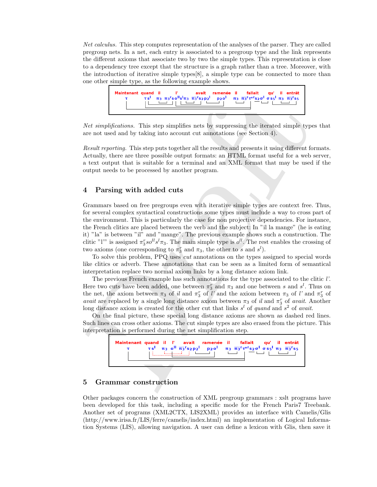Net calculus. This step computes representation of the analyses of the parser. They are called pregroup nets. In a net, each entry is associated to a pregroup type and the link represents the different axioms that associate two by two the simple types. This representation is close to a dependency tree except that the structure is a graph rather than a tree. Moreover, with the introduction of iterative simple types[8], a simple type can be connected to more than one other simple type, as the following example shows.



Net simplifications. This step simplifies nets by suppressing the iterated simple types that are not used and by taking into account cut annotations (see Section 4).

Result reporting. This step puts together all the results and presents it using different formats. Actually, there are three possible output formats: an HTML format useful for a web server, a text output that is suitable for a terminal and an XML format that may be used if the output needs to be processed by another program.

# 4 Parsing with added cuts

Not simplifications. This step simplifies are the measurements in the simple particle in the simple particle in the simple particle in the simple particle in the simple particle and the simple particle and the simple of t Grammars based on free pregroups even with iterative simple types are context free. Thus, for several complex syntactical constructions some types must include a way to cross part of the environment. This is particularly the case for non projective dependencies. For instance, the French clitics are placed between the verb and the subject: In "il la mange" (he is eating it) "la" is between "il" and "mange". The previous example shows such a construction. The clitic "l'" is assigned  $\pi_3^r so^{ll} s^l \pi_3$ . The main simple type is  $o^{ll}$ . The rest enables the crossing of two axioms (one corresponding to  $\pi_3^r$  and  $\pi_3$ , the other to s and s<sup>l</sup>).

To solve this problem, PPQ uses cut annotations on the types assigned to special words like clitics or adverb. These annotations that can be seen as a limited form of semantical interpretation replace two normal axiom links by a long distance axiom link.

The previous French example has such annotations for the type associated to the clitic l'. Here two cuts have been added, one between  $\pi_3^r$  and  $\pi_3$  and one between s and s<sup>l</sup>. Thus on the net, the axiom between  $\pi_3$  of il and  $\pi_3^r$  of l' and the axiom between  $\pi_3$  of l' and  $\pi_3^r$  of avait are replaced by a single long distance axiom between  $\pi_3$  of il and  $\pi_3^r$  of avait. Another long distance axiom is created for the other cut that links  $s^l$  of quand and  $s^2$  of avait.

On the final picture, these special long distance axioms are shown as dashed red lines. Such lines can cross other axioms. The cut simple types are also erased from the picture. This interpretation is performed during the net simplification step.



# 5 Grammar construction

Other packages concern the construction of XML pregroup grammars : xslt programs have been developed for this task, including a specific mode for the French Paris7 Treebank. Another set of programs (XML2CTX, LIS2XML) provides an interface with Camelis/Glis (http://www.irisa.fr/LIS/ferre/camelis/index.html) an implementation of Logical Information Systems (LIS), allowing navigation. A user can define a lexicon with Glis, then save it